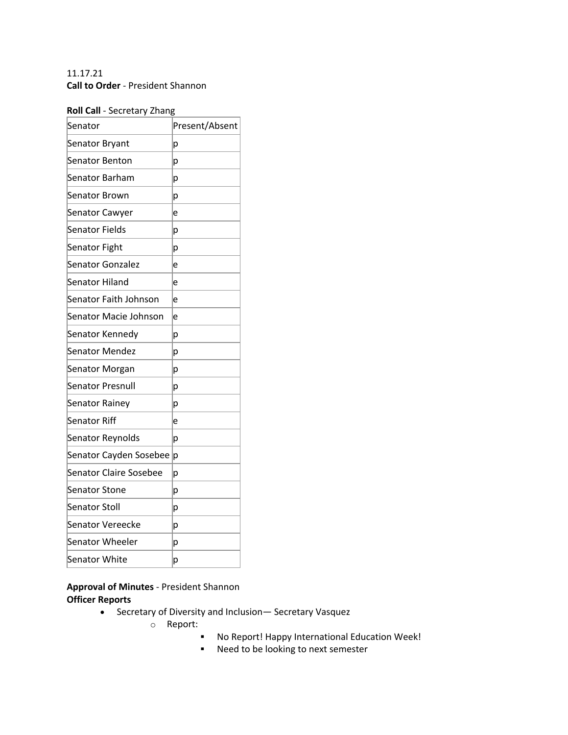## 11.17.21 **Call to Order** - President Shannon

#### **Roll Call** - Secretary Zhang

| Present/Absent |
|----------------|
| p              |
| p              |
| p              |
| р              |
| e              |
| р              |
| р              |
| e              |
| e              |
| e              |
| e              |
| p              |
| p              |
| р              |
| р              |
| р              |
| e              |
| p              |
| p              |
| р              |
| р              |
| p              |
| р              |
| р              |
| р              |
|                |

**Approval of Minutes** - President Shannon **Officer Reports**

- Secretary of Diversity and Inclusion— Secretary Vasquez
	- o Report:
		- § No Report! Happy International Education Week!
		- Need to be looking to next semester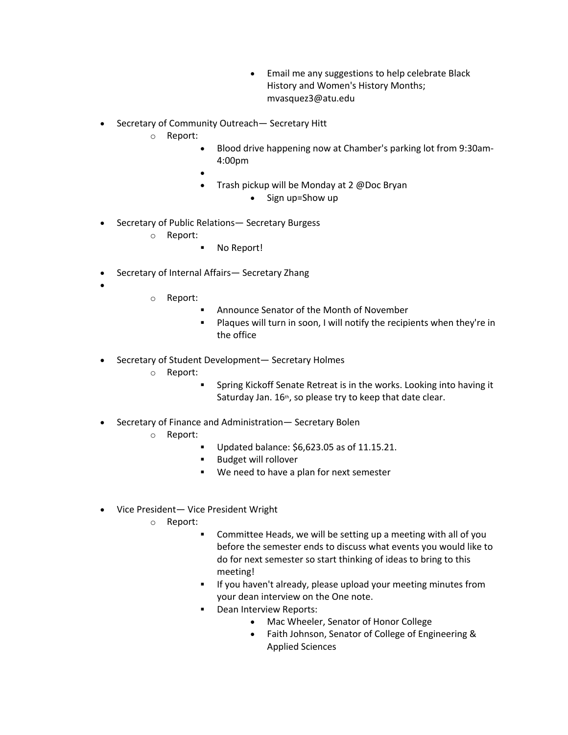- Email me any suggestions to help celebrate Black History and Women's History Months; mvasquez3@atu.edu
- Secretary of Community Outreach— Secretary Hitt
	- o Report:
		- Blood drive happening now at Chamber's parking lot from 9:30am-4:00pm
		- •
		- Trash pickup will be Monday at 2 @Doc Bryan
			- Sign up=Show up
- Secretary of Public Relations— Secretary Burgess
	- o Report:
		- No Report!
- Secretary of Internal Affairs-Secretary Zhang
- •
- o Report:
	- Announce Senator of the Month of November
	- Plaques will turn in soon, I will notify the recipients when they're in the office
- Secretary of Student Development— Secretary Holmes
	- o Report:
		- § Spring Kickoff Senate Retreat is in the works. Looking into having it Saturday Jan. 16<sup>th</sup>, so please try to keep that date clear.
- Secretary of Finance and Administration— Secretary Bolen
	- o Report:
		- Updated balance: \$6,623.05 as of 11.15.21.
		- Budget will rollover
		- We need to have a plan for next semester
- Vice President— Vice President Wright
	- o Report:
		- § Committee Heads, we will be setting up a meeting with all of you before the semester ends to discuss what events you would like to do for next semester so start thinking of ideas to bring to this meeting!
		- **•** If you haven't already, please upload your meeting minutes from your dean interview on the One note.
		- Dean Interview Reports:
			- Mac Wheeler, Senator of Honor College
			- Faith Johnson, Senator of College of Engineering & Applied Sciences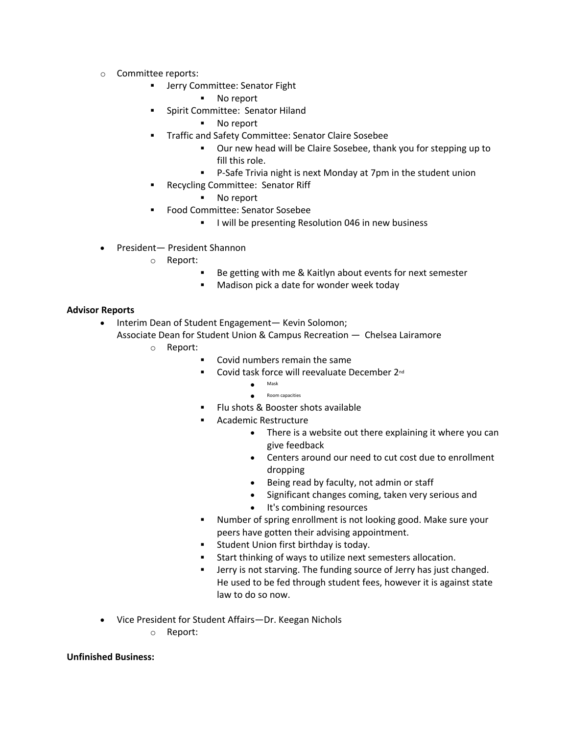- o Committee reports:
	- **■** Jerry Committee: Senator Fight
		- § No report
	- § Spirit Committee: Senator Hiland
		- No report
	- § Traffic and Safety Committee: Senator Claire Sosebee
		- Our new head will be Claire Sosebee, thank you for stepping up to fill this role.
		- P-Safe Trivia night is next Monday at 7pm in the student union
	- § Recycling Committee: Senator Riff
		- No report
	- § Food Committee: Senator Sosebee
		- **I will be presenting Resolution 046 in new business**
- President— President Shannon
	- o Report:
		- Be getting with me & Kaitlyn about events for next semester
		- Madison pick a date for wonder week today

#### **Advisor Reports**

- Interim Dean of Student Engagement— Kevin Solomon; Associate Dean for Student Union & Campus Recreation — Chelsea Lairamore
	- o Report:
		- § Covid numbers remain the same
		- Covid task force will reevaluate December 2<sup>nd</sup>
			- Mask
			- Room capacities
		- § Flu shots & Booster shots available
		- § Academic Restructure
			- There is a website out there explaining it where you can give feedback
			- Centers around our need to cut cost due to enrollment dropping
			- Being read by faculty, not admin or staff
			- Significant changes coming, taken very serious and
			- It's combining resources
		- § Number of spring enrollment is not looking good. Make sure your peers have gotten their advising appointment.
		- **•** Student Union first birthday is today.
		- Start thinking of ways to utilize next semesters allocation.
		- **•** Jerry is not starving. The funding source of Jerry has just changed. He used to be fed through student fees, however it is against state law to do so now.
- Vice President for Student Affairs—Dr. Keegan Nichols
	- o Report:

#### **Unfinished Business:**